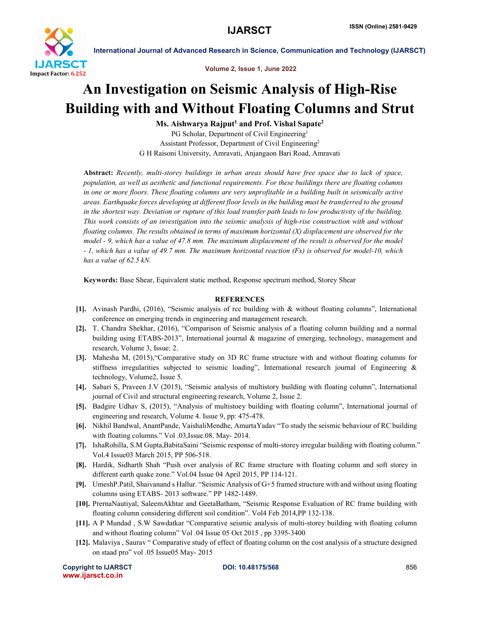

International Journal of Advanced Research in Science, Communication and Technology (IJARSCT)

Volume 2, Issue 1, June 2022

## An Investigation on Seismic Analysis of High-Rise Building with and Without Floating Columns and Strut

Ms. Aishwarya Rajput<sup>1</sup> and Prof. Vishal Sapate<sup>2</sup> PG Scholar, Department of Civil Engineering<sup>1</sup> Assistant Professor, Department of Civil Engineering2 G H Raisoni University, Amravati, Anjangaon Bari Road, Amravati

Abstract: *Recently, multi-storey buildings in urban areas should have free space due to lack of space, population, as well as aesthetic and functional requirements. For these buildings there are floating columns in one or more floors. These floating columns are very unprofitable in a building built in seismically active areas. Earthquake forces developing at different floor levels in the building must be transferred to the ground in the shortest way. Deviation or rupture of this load transfer path leads to low productivity of the building. This work consists of an investigation into the seismic analysis of high-rise construction with and without floating columns. The results obtained in terms of maximum horizontal (X) displacement are observed for the model - 9, which has a value of 47.8 mm. The maximum displacement of the result is observed for the model - 1, which has a value of 49.7 mm. The maximum horizontal reaction (Fx) is observed for model-10, which has a value of 62.5 kN.*

Keywords: Base Shear, Equivalent static method, Response spectrum method, Storey Shear

## **REFERENCES**

- [1]. Avinash Pardhi, (2016), "Seismic analysis of rcc building with & without floating columns", International conference on emerging trends in engineering and management research.
- [2]. T. Chandra Shekhar, (2016), "Comparison of Seismic analysis of a floating column building and a normal building using ETABS-2013", International journal & magazine of emerging, technology, management and research, Volume 3, Issue: 2.
- [3]. Mahesha M, (2015),"Comparative study on 3D RC frame structure with and without floating columns for stiffness irregularities subjected to seismic loading", International research journal of Engineering & technology, Volume2, Issue 5.
- [4]. Sabari S, Praveen J.V (2015), "Seismic analysis of multistory building with floating column", International journal of Civil and structural engineering research, Volume 2, Issue 2.
- [5]. Badgire Udhav S, (2015), "Analysis of multistoey building with floating column", International journal of engineering and research, Volume 4. Issue 9, pp: 475-478.
- [6]. Nikhil Bandwal, AnantPande, VaishaliMendhe, AmurtaYadav "To study the seismic behaviour of RC building with floating columns." Vol .03,Issue.08. May- 2014.
- [7]. IshaRohilla, S.M Gupta,BabitaSaini "Seismic response of multi-storey irregular building with floating column." Vol.4 Issue03 March 2015, PP 506-518.
- [8]. Hardik, Sidharth Shah "Push over analysis of RC frame structure with floating column and soft storey in different earth quake zone." Vol.04 Issue 04 April 2015, PP 114-121.
- [9]. UmeshP.Patil, Shaivanand s Hallur. "Seismic Analysis of G+5 framed structure with and without using floating columns using ETABS- 2013 software." PP 1482-1489.
- [10]. PrernaNautiyal, SaleemAkhtar and GeetaBatham, "Seismic Response Evaluation of RC frame building with floating column considering different soil condition". Vol4 Feb 2014,PP 132-138.
- [11]. A P Mundad , S.W Sawdatkar "Comparative seismic analysis of multi-storey building with floating column and without floating column" Vol .04 Issue 05 Oct 2015 , pp 3395-3400
- [12]. Malaviya , Saurav " Comparative study of effect of floating column on the cost analysis of a structure designed on staad pro" vol .05 Issue05 May- 2015